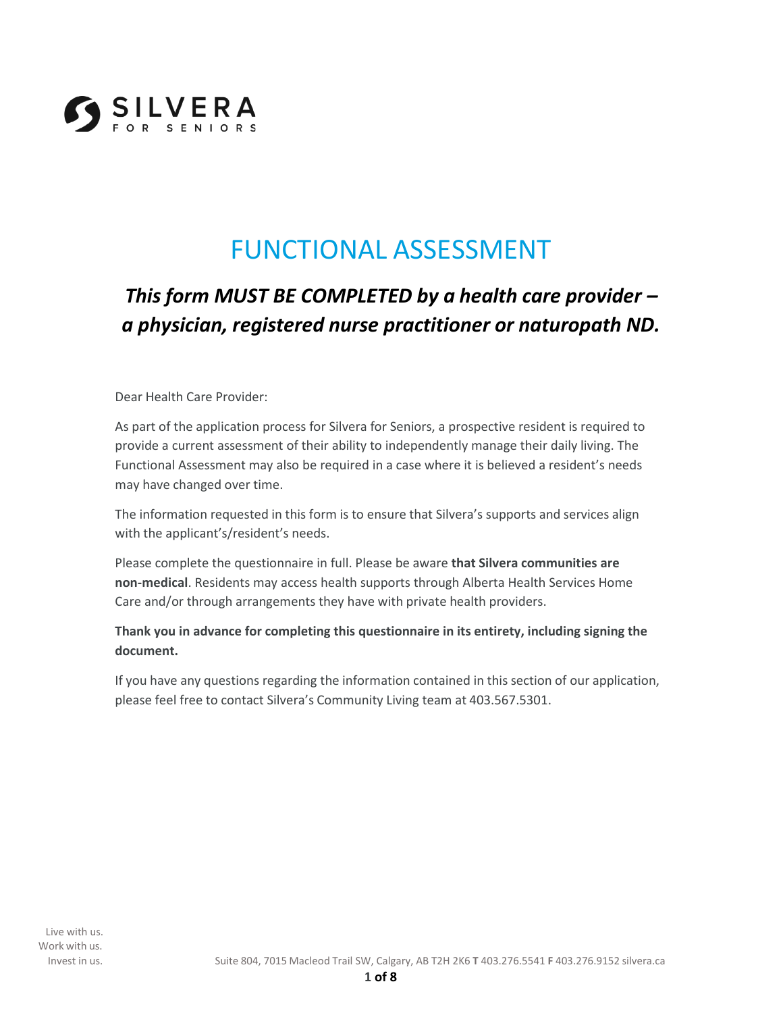

# FUNCTIONAL ASSESSMENT

## *This form MUST BE COMPLETED by a health care provider – a physician, registered nurse practitioner or naturopath ND.*

Dear Health Care Provider:

As part of the application process for Silvera for Seniors, a prospective resident is required to provide a current assessment of their ability to independently manage their daily living. The Functional Assessment may also be required in a case where it is believed a resident's needs may have changed over time.

The information requested in this form is to ensure that Silvera's supports and services align with the applicant's/resident's needs.

Please complete the questionnaire in full. Please be aware **that Silvera communities are non-medical**. Residents may access health supports through Alberta Health Services Home Care and/or through arrangements they have with private health providers.

#### **Thank you in advance for completing this questionnaire in its entirety, including signing the document.**

If you have any questions regarding the information contained in this section of our application, please feel free to contact Silvera's Community Living team at 403.567.5301.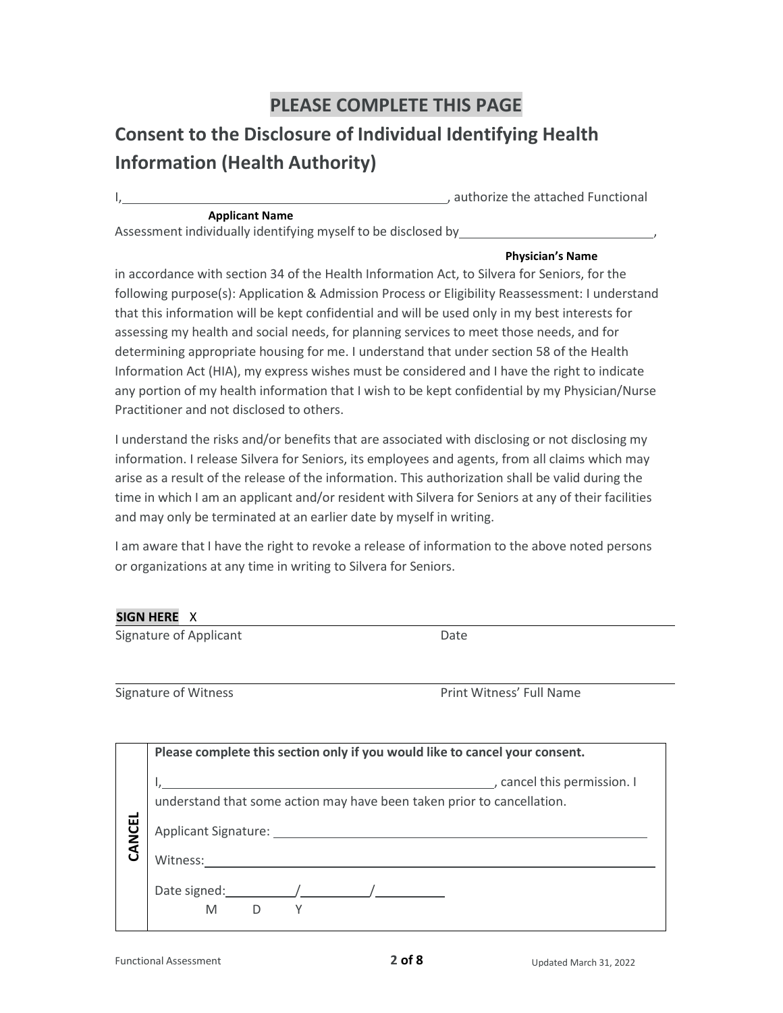### **PLEASE COMPLETE THIS PAGE**

### **Consent to the Disclosure of Individual Identifying Health Information (Health Authority)**

, authorize the attached Functional

#### **Applicant Name**

Assessment individually identifying myself to be disclosed by ,

#### **Physician's Name**

in accordance with section 34 of the Health Information Act, to Silvera for Seniors, for the following purpose(s): Application & Admission Process or Eligibility Reassessment: I understand that this information will be kept confidential and will be used only in my best interests for assessing my health and social needs, for planning services to meet those needs, and for determining appropriate housing for me. I understand that under section 58 of the Health Information Act (HIA), my express wishes must be considered and I have the right to indicate any portion of my health information that I wish to be kept confidential by my Physician/Nurse Practitioner and not disclosed to others.

I understand the risks and/or benefits that are associated with disclosing or not disclosing my information. I release Silvera for Seniors, its employees and agents, from all claims which may arise as a result of the release of the information. This authorization shall be valid during the time in which I am an applicant and/or resident with Silvera for Seniors at any of their facilities and may only be terminated at an earlier date by myself in writing.

I am aware that I have the right to revoke a release of information to the above noted persons or organizations at any time in writing to Silvera for Seniors.

#### **SIGN HERE** X

| Signature of Applicant      | Date                     |
|-----------------------------|--------------------------|
| <b>Signature of Witness</b> | Print Witness' Full Name |
|                             |                          |

|             | Please complete this section only if you would like to cancel your consent.                                                               |
|-------------|-------------------------------------------------------------------------------------------------------------------------------------------|
| ┙<br>CANCEI | , cancel this permission. I<br>understand that some action may have been taken prior to cancellation.<br>Applicant Signature:<br>Witness: |
|             | Date signed:<br>M                                                                                                                         |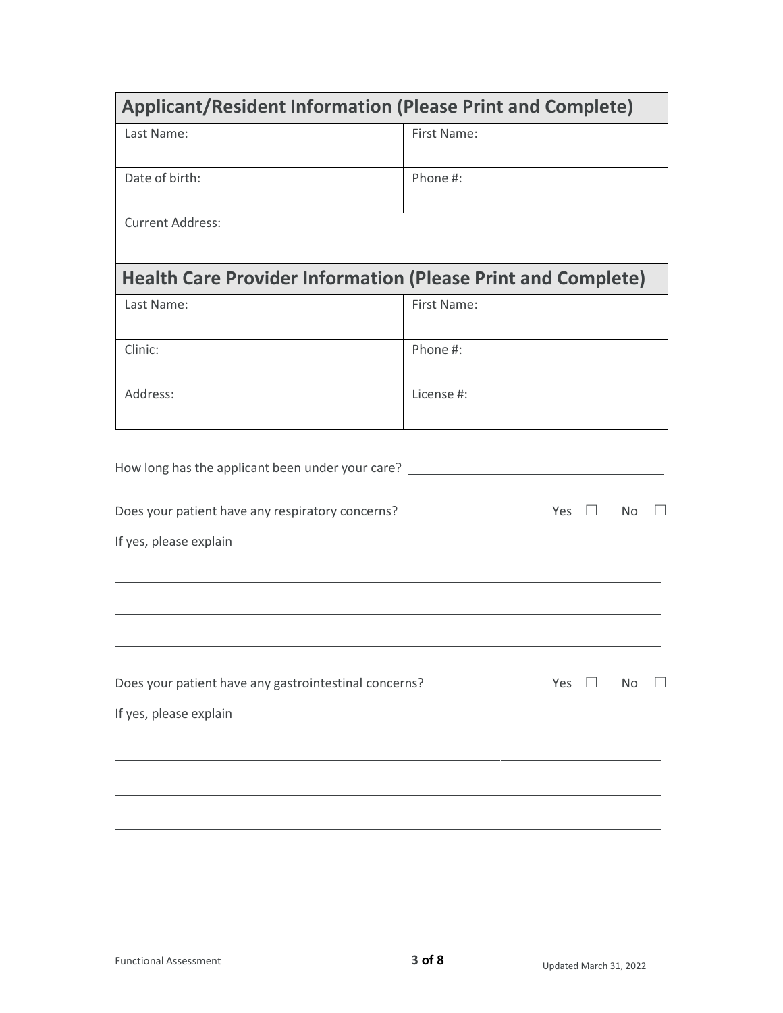| <b>Applicant/Resident Information (Please Print and Complete)</b>   |                     |
|---------------------------------------------------------------------|---------------------|
| Last Name:                                                          | First Name:         |
| Date of birth:                                                      | Phone #:            |
| <b>Current Address:</b>                                             |                     |
| <b>Health Care Provider Information (Please Print and Complete)</b> |                     |
| Last Name:                                                          | First Name:         |
| Clinic:                                                             | Phone #:            |
| Address:                                                            | License #:          |
| How long has the applicant been under your care?                    |                     |
| Does your patient have any respiratory concerns?                    | Yes $\square$<br>No |
| If yes, please explain                                              |                     |
|                                                                     |                     |
| Does your patient have any gastrointestinal concerns?               | Yes<br>No           |
| If yes, please explain                                              |                     |
|                                                                     |                     |
|                                                                     |                     |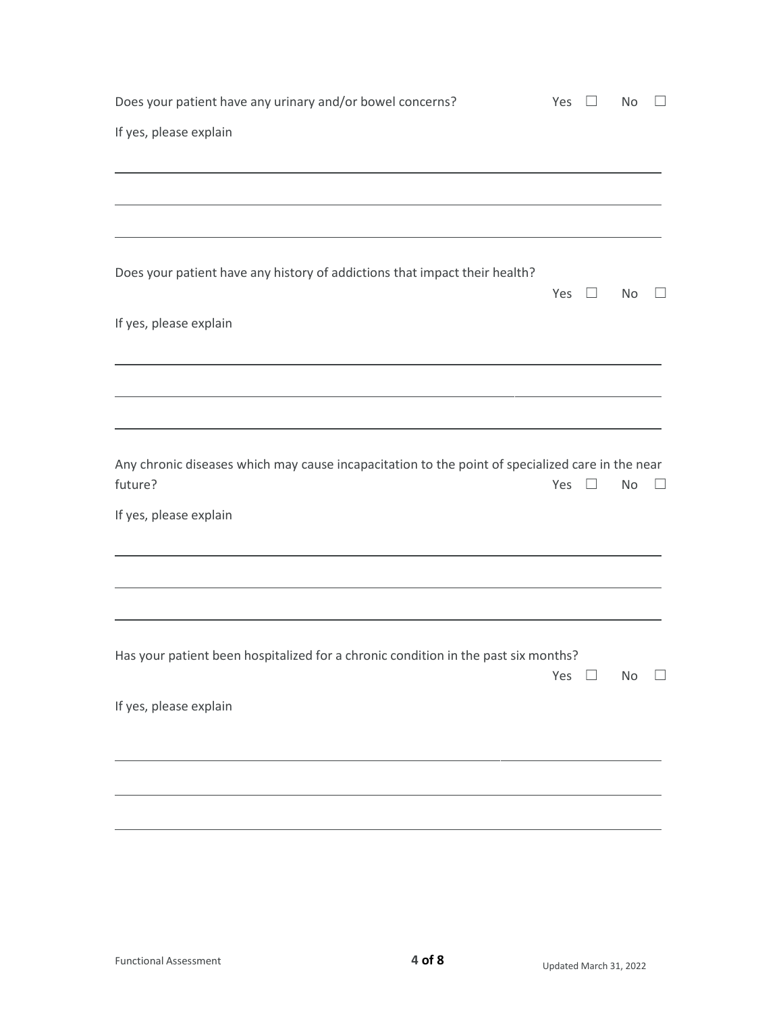| Does your patient have any urinary and/or bowel concerns?                                        | Yes |         | No        |  |
|--------------------------------------------------------------------------------------------------|-----|---------|-----------|--|
| If yes, please explain                                                                           |     |         |           |  |
|                                                                                                  |     |         |           |  |
|                                                                                                  |     |         |           |  |
|                                                                                                  |     |         |           |  |
| Does your patient have any history of addictions that impact their health?                       | Yes | $\perp$ | No        |  |
| If yes, please explain                                                                           |     |         |           |  |
|                                                                                                  |     |         |           |  |
|                                                                                                  |     |         |           |  |
| Any chronic diseases which may cause incapacitation to the point of specialized care in the near |     |         |           |  |
| future?                                                                                          | Yes |         | No        |  |
| If yes, please explain                                                                           |     |         |           |  |
|                                                                                                  |     |         |           |  |
|                                                                                                  |     |         |           |  |
| Has your patient been hospitalized for a chronic condition in the past six months?               |     |         |           |  |
|                                                                                                  | Yes | $\Box$  | <b>No</b> |  |
| If yes, please explain                                                                           |     |         |           |  |
|                                                                                                  |     |         |           |  |
|                                                                                                  |     |         |           |  |
|                                                                                                  |     |         |           |  |
|                                                                                                  |     |         |           |  |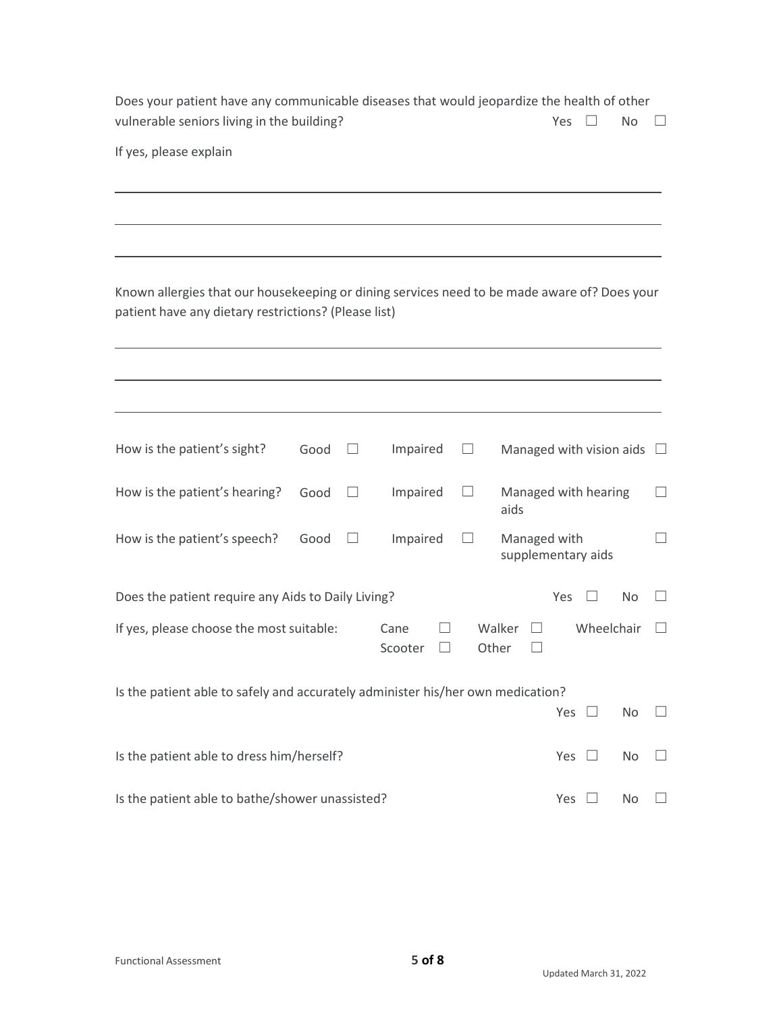| Does your patient have any communicable diseases that would jeopardize the health of other |                      |  |
|--------------------------------------------------------------------------------------------|----------------------|--|
| vulnerable seniors living in the building?                                                 | Yes $\Box$ No $\Box$ |  |

If yes, please explain

Known allergies that our housekeeping or dining services need to be made aware of? Does your patient have any dietary restrictions? (Please list)

| How is the patient's sight?                                                     | Good | Impaired        |       |              | Managed with vision aids |     |  |
|---------------------------------------------------------------------------------|------|-----------------|-------|--------------|--------------------------|-----|--|
| How is the patient's hearing?                                                   | Good | Impaired        |       | aids         | Managed with hearing     |     |  |
| How is the patient's speech?                                                    | Good | Impaired        |       | Managed with | supplementary aids       |     |  |
| Does the patient require any Aids to Daily Living?                              |      |                 |       |              | Yes                      | No  |  |
| If yes, please choose the most suitable:                                        |      | Cane<br>Scooter | Other | Walker       | Wheelchair               |     |  |
| Is the patient able to safely and accurately administer his/her own medication? |      |                 |       |              |                          |     |  |
|                                                                                 |      |                 |       |              | Yes                      | No. |  |
| Is the patient able to dress him/herself?                                       |      |                 |       |              | Yes                      | No  |  |
|                                                                                 |      |                 |       |              |                          |     |  |

Is the patient able to bathe/shower unassisted? Yes □ No □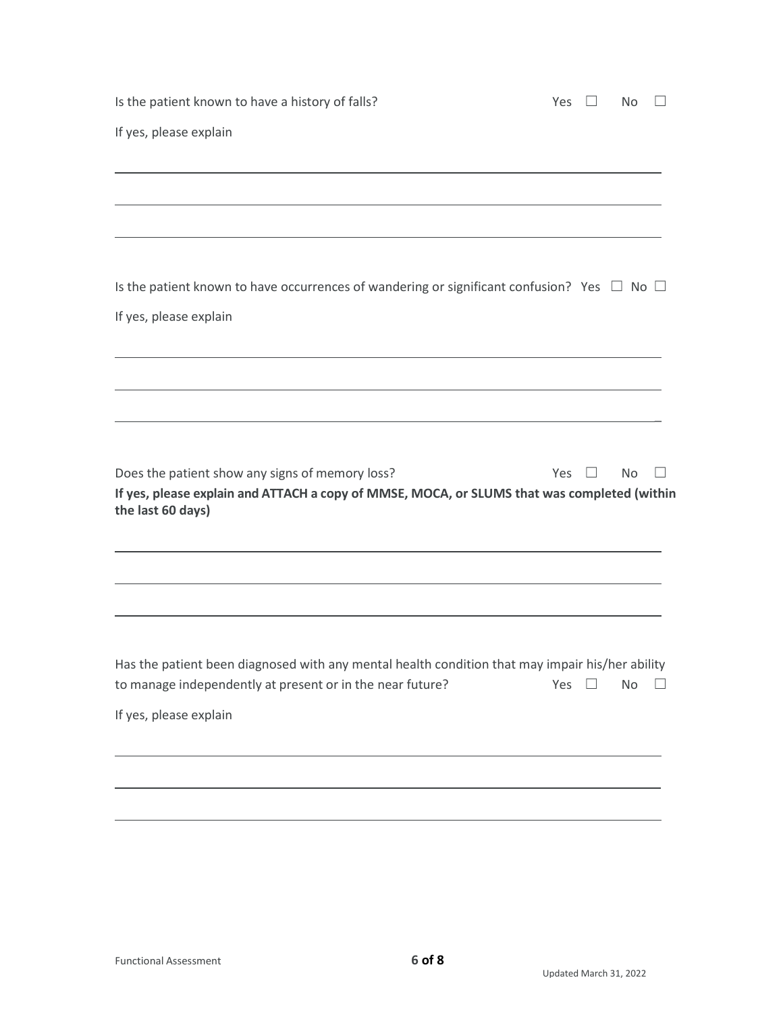| Is the patient known to have a history of falls?                                                                                                                    | Yes | $\Box$ | <b>No</b> |  |
|---------------------------------------------------------------------------------------------------------------------------------------------------------------------|-----|--------|-----------|--|
| If yes, please explain                                                                                                                                              |     |        |           |  |
|                                                                                                                                                                     |     |        |           |  |
|                                                                                                                                                                     |     |        |           |  |
|                                                                                                                                                                     |     |        |           |  |
| Is the patient known to have occurrences of wandering or significant confusion? Yes $\Box$ No $\Box$                                                                |     |        |           |  |
| If yes, please explain                                                                                                                                              |     |        |           |  |
|                                                                                                                                                                     |     |        |           |  |
|                                                                                                                                                                     |     |        |           |  |
|                                                                                                                                                                     |     |        |           |  |
|                                                                                                                                                                     |     |        |           |  |
| Does the patient show any signs of memory loss?<br>If yes, please explain and ATTACH a copy of MMSE, MOCA, or SLUMS that was completed (within<br>the last 60 days) | Yes |        | No        |  |
|                                                                                                                                                                     |     |        |           |  |
|                                                                                                                                                                     |     |        |           |  |
| Has the patient been diagnosed with any mental health condition that may impair his/her ability<br>to manage independently at present or in the near future?        | Yes |        | <b>No</b> |  |
| If yes, please explain                                                                                                                                              |     |        |           |  |
|                                                                                                                                                                     |     |        |           |  |
|                                                                                                                                                                     |     |        |           |  |
|                                                                                                                                                                     |     |        |           |  |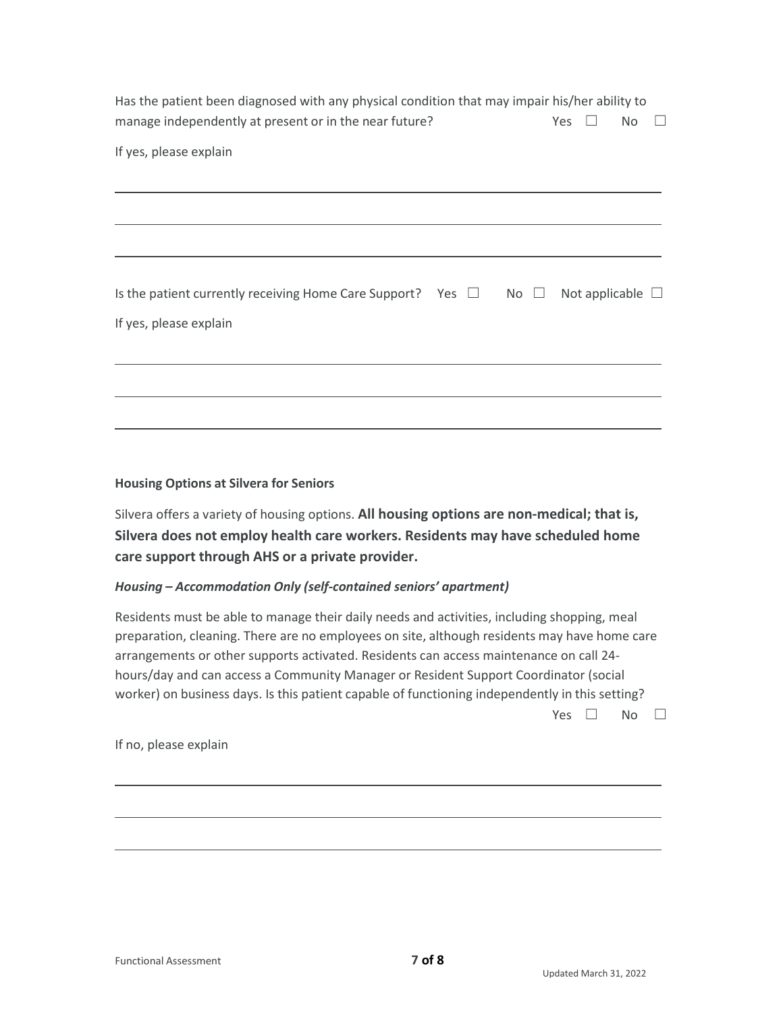| Has the patient been diagnosed with any physical condition that may impair his/her ability to<br>manage independently at present or in the near future? | Yes |                       | No |  |
|---------------------------------------------------------------------------------------------------------------------------------------------------------|-----|-----------------------|----|--|
| If yes, please explain                                                                                                                                  |     |                       |    |  |
|                                                                                                                                                         |     |                       |    |  |
|                                                                                                                                                         |     |                       |    |  |
|                                                                                                                                                         |     |                       |    |  |
| Is the patient currently receiving Home Care Support? Yes $\Box$ No $\Box$                                                                              |     | Not applicable $\Box$ |    |  |
| If yes, please explain                                                                                                                                  |     |                       |    |  |
|                                                                                                                                                         |     |                       |    |  |
|                                                                                                                                                         |     |                       |    |  |
|                                                                                                                                                         |     |                       |    |  |

#### **Housing Options at Silvera for Seniors**

Silvera offers a variety of housing options. **All housing options are non-medical; that is, Silvera does not employ health care workers. Residents may have scheduled home care support through AHS or a private provider.**

#### *Housing – Accommodation Only (self-contained seniors' apartment)*

Residents must be able to manage their daily needs and activities, including shopping, meal preparation, cleaning. There are no employees on site, although residents may have home care arrangements or other supports activated. Residents can access maintenance on call 24 hours/day and can access a Community Manager or Resident Support Coordinator (social worker) on business days. Is this patient capable of functioning independently in this setting?

Yes □ No □

If no, please explain